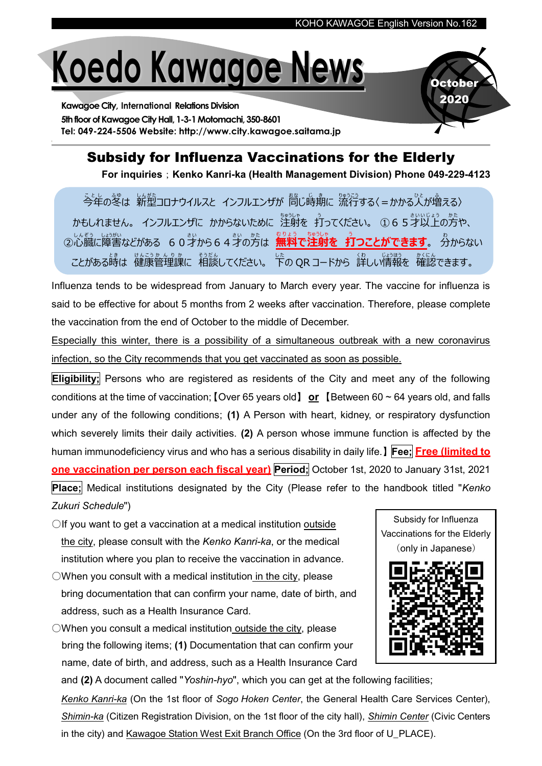## Koedo Kawagoe News

Kawagoe City, International Relations Division 5th floor of Kawagoe City Hall, 1-3-1 Motomachi, 350-8601 Tel: 049-224-5506 Website: http://www.city.kawagoe.saitama.jp



## Subsidy for Influenza Vaccinations for the Elderly

For inquiries; Kenko Kanri-ka (Health Management Division) Phone 049-229-4123

ことし<br>今年の冬は 新型コロナウイルスと インフルエンザが <sup>散</sup>じ時期に 流行する〈=かかる人が増える〉 かもしれません。 インフルエンザに かからないために 注射を 打ってください。 ①65才以上の方や、 ○心穏に障害などがある 6 0 才から64才の方は、無料で注射を→了つことができます。 分からない ことがある時は 健康管理課に 相談してください。 下の QR コードから 詳しい情報を 確認できます。

Influenza tends to be widespread from January to March every year. The vaccine for influenza is said to be effective for about 5 months from 2 weeks after vaccination. Therefore, please complete the vaccination from the end of October to the middle of December.

Especially this winter, there is a possibility of a simultaneous outbreak with a new coronavirus infection, so the City recommends that you get vaccinated as soon as possible.

Eligibility; Persons who are registered as residents of the City and meet any of the following conditions at the time of vaccination; [Over 65 years old] or [Between 60  $\sim$  64 years old, and falls under any of the following conditions; (1) A Person with heart, kidney, or respiratory dysfunction which severely limits their daily activities. (2) A person whose immune function is affected by the human immunodeficiency virus and who has a serious disability in daily life.】Fee; Free (limited to one vaccination per person each fiscal year) Period; October 1st, 2020 to January 31st, 2021 **Place;** Medical institutions designated by the City (Please refer to the handbook titled "Kenko" Zukuri Schedule")

- ○If you want to get a vaccination at a medical institution outside the city, please consult with the Kenko Kanri-ka, or the medical institution where you plan to receive the vaccination in advance.
- $\bigcirc$ When you consult with a medical institution in the city, please bring documentation that can confirm your name, date of birth, and address, such as a Health Insurance Card.

 $\bigcirc$ When you consult a medical institution outside the city, please bring the following items; (1) Documentation that can confirm your name, date of birth, and address, such as a Health Insurance Card Vaccinations for the Elderly (only in Japanese)

Subsidy for Influenza

and (2) A document called "Yoshin-hyo", which you can get at the following facilities;

Kenko Kanri-ka (On the 1st floor of Sogo Hoken Center, the General Health Care Services Center), Shimin-ka (Citizen Registration Division, on the 1st floor of the city hall), Shimin Center (Civic Centers in the city) and Kawagoe Station West Exit Branch Office (On the 3rd floor of U\_PLACE).